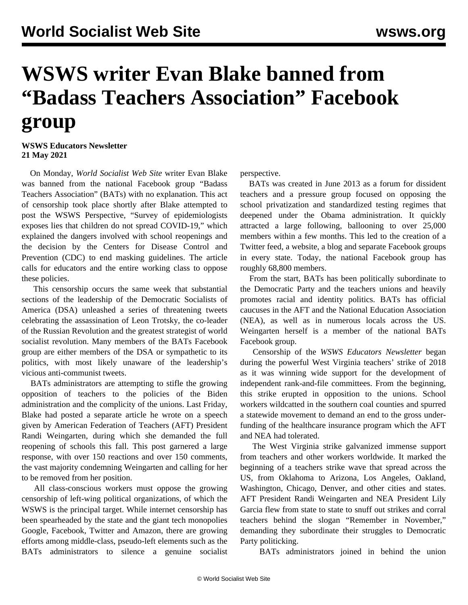## **WSWS writer Evan Blake banned from "Badass Teachers Association" Facebook group**

**WSWS Educators Newsletter 21 May 2021**

 On Monday, *World Socialist Web Site* writer Evan Blake was banned from the national Facebook group "Badass Teachers Association" (BATs) with no explanation. This act of censorship took place shortly after Blake attempted to post the WSWS Perspective, "[Survey of epidemiologists](/en/articles/2021/05/17/pers-m17.html) [exposes lies that children do not spread COVID-19,](/en/articles/2021/05/17/pers-m17.html)" which explained the dangers involved with school reopenings and the decision by the Centers for Disease Control and Prevention (CDC) to end masking guidelines. The article calls for educators and the entire working class to oppose these policies.

 This censorship occurs the same week that substantial sections of the leadership of the Democratic Socialists of America (DSA) unleashed a [series of threatening tweets](/en/articles/2021/05/18/pers-m18.html) celebrating the assassination of Leon Trotsky, the co-leader of the Russian Revolution and the greatest strategist of world socialist revolution. Many members of the BATs Facebook group are either members of the DSA or sympathetic to its politics, with most likely unaware of the leadership's vicious anti-communist tweets.

 BATs administrators are attempting to stifle the growing opposition of teachers to the policies of the Biden administration and the complicity of the unions. Last Friday, Blake had posted a [separate article](/en/articles/2021/05/14/wein-m14.html) he wrote on a speech given by American Federation of Teachers (AFT) President Randi Weingarten, during which she demanded the full reopening of schools this fall. This post garnered a large response, with over 150 reactions and over 150 comments, the vast majority condemning Weingarten and calling for her to be removed from her position.

 All class-conscious workers must oppose the growing censorship of left-wing political organizations, of which the WSWS is the principal target. While internet censorship has been spearheaded by the state and the giant tech monopolies Google, Facebook, Twitter and Amazon, there are growing efforts among middle-class, pseudo-left elements such as the BATs administrators to silence a genuine socialist perspective.

 BATs was created in June 2013 as a forum for dissident teachers and a pressure group focused on opposing the school privatization and standardized testing regimes that deepened under the Obama administration. It quickly attracted a large following, ballooning to over 25,000 members within a few months. This led to the creation of a Twitter feed, a website, a blog and separate Facebook groups in every state. Today, the national Facebook group has roughly 68,800 members.

 From the start, BATs has been politically subordinate to the Democratic Party and the teachers unions and heavily promotes racial and identity politics. BATs has official caucuses in the AFT and the National Education Association (NEA), as well as in numerous locals across the US. Weingarten herself is a member of the national BATs Facebook group.

 Censorship of the *WSWS Educators Newsletter* began during the powerful West Virginia teachers' strike of 2018 as it was winning wide support for the development of independent rank-and-file committees. From the beginning, this strike erupted in opposition to the unions. School workers wildcatted in the southern coal counties and spurred a statewide movement to demand an end to the gross underfunding of the healthcare insurance program which the AFT and NEA had tolerated.

 The West Virginia strike galvanized immense support from teachers and other workers worldwide. It marked the beginning of a teachers strike wave that spread across the US, from Oklahoma to Arizona, Los Angeles, Oakland, Washington, Chicago, Denver, and other cities and states. AFT President Randi Weingarten and NEA President Lily Garcia flew from state to state to snuff out strikes and corral teachers behind the slogan "Remember in November," demanding they subordinate their struggles to Democratic Party politicking.

BATs administrators joined in behind the union